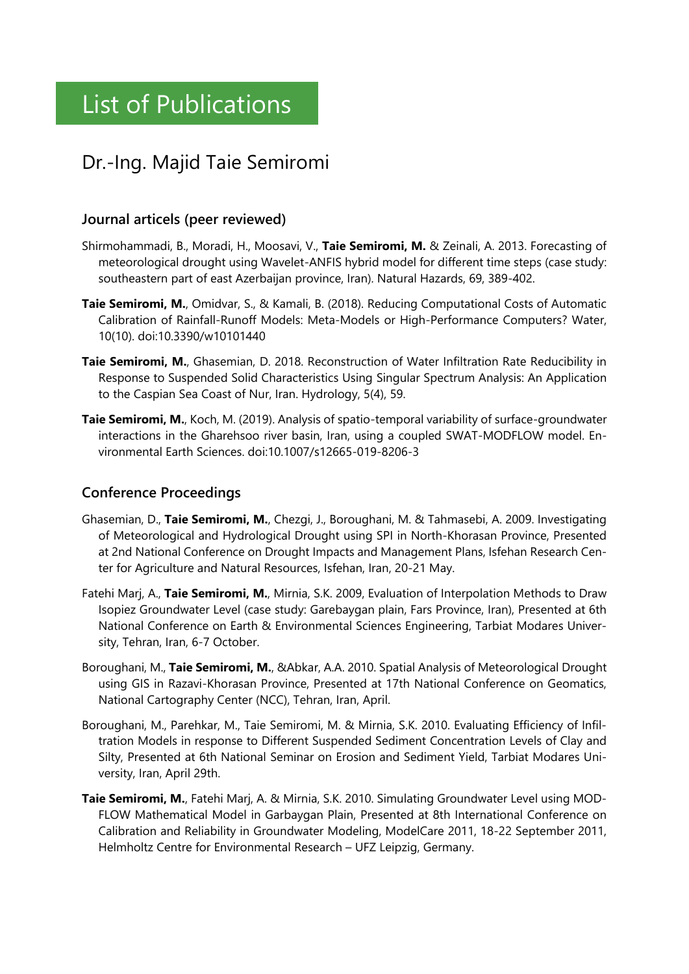## Dr.-Ing. Majid Taie Semiromi

## **Journal articels (peer reviewed)**

- Shirmohammadi, B., Moradi, H., Moosavi, V., **Taie Semiromi, M.** & Zeinali, A. 2013. Forecasting of meteorological drought using Wavelet-ANFIS hybrid model for different time steps (case study: southeastern part of east Azerbaijan province, Iran). Natural Hazards, 69, 389-402.
- **Taie Semiromi, M.**, Omidvar, S., & Kamali, B. (2018). Reducing Computational Costs of Automatic Calibration of Rainfall-Runoff Models: Meta-Models or High-Performance Computers? Water, 10(10). doi:10.3390/w10101440
- **Taie Semiromi, M.**, Ghasemian, D. 2018. Reconstruction of Water Infiltration Rate Reducibility in Response to Suspended Solid Characteristics Using Singular Spectrum Analysis: An Application to the Caspian Sea Coast of Nur, Iran. Hydrology, 5(4), 59.
- **Taie Semiromi, M.**, Koch, M. (2019). Analysis of spatio-temporal variability of surface-groundwater interactions in the Gharehsoo river basin, Iran, using a coupled SWAT-MODFLOW model. Environmental Earth Sciences. doi:10.1007/s12665-019-8206-3

## **Conference Proceedings**

- Ghasemian, D., **Taie Semiromi, M.**, Chezgi, J., Boroughani, M. & Tahmasebi, A. 2009. Investigating of Meteorological and Hydrological Drought using SPI in North-Khorasan Province, Presented at 2nd National Conference on Drought Impacts and Management Plans, Isfehan Research Center for Agriculture and Natural Resources, Isfehan, Iran, 20-21 May.
- Fatehi Marj, A., **Taie Semiromi, M.**, Mirnia, S.K. 2009, Evaluation of Interpolation Methods to Draw Isopiez Groundwater Level (case study: Garebaygan plain, Fars Province, Iran), Presented at 6th National Conference on Earth & Environmental Sciences Engineering, Tarbiat Modares University, Tehran, Iran, 6-7 October.
- Boroughani, M., **Taie Semiromi, M.**, &Abkar, A.A. 2010. Spatial Analysis of Meteorological Drought using GIS in Razavi-Khorasan Province, Presented at 17th National Conference on Geomatics, National Cartography Center (NCC), Tehran, Iran, April.
- Boroughani, M., Parehkar, M., Taie Semiromi, M. & Mirnia, S.K. 2010. Evaluating Efficiency of Infiltration Models in response to Different Suspended Sediment Concentration Levels of Clay and Silty, Presented at 6th National Seminar on Erosion and Sediment Yield, Tarbiat Modares University, Iran, April 29th.
- **Taie Semiromi, M.**, Fatehi Marj, A. & Mirnia, S.K. 2010. Simulating Groundwater Level using MOD-FLOW Mathematical Model in Garbaygan Plain, Presented at 8th International Conference on Calibration and Reliability in Groundwater Modeling, ModelCare 2011, 18-22 September 2011, Helmholtz Centre for Environmental Research – UFZ Leipzig, Germany.